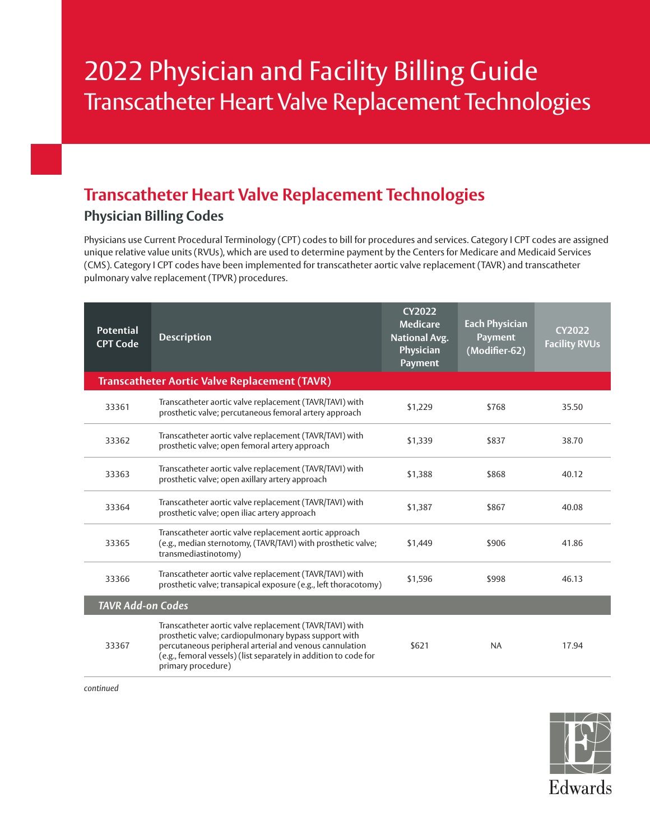# 2022 Physician and Facility Billing Guide Transcatheter Heart Valve Replacement Technologies

## **Transcatheter Heart Valve Replacement Technologies Physician Billing Codes**

Physicians use Current Procedural Terminology (CPT) codes to bill for procedures and services. Category I CPT codes are assigned unique relative value units (RVUs), which are used to determine payment by the Centers for Medicare and Medicaid Services (CMS). Category I CPT codes have been implemented for transcatheter aortic valve replacement (TAVR) and transcatheter pulmonary valve replacement (TPVR) procedures.

| <b>Potential</b><br><b>CPT Code</b> | <b>Description</b>                                                                                                                                                                                                                                                    | <b>CY2022</b><br><b>Medicare</b><br><b>National Avg.</b><br>Physician<br><b>Payment</b> | <b>Each Physician</b><br><b>Payment</b><br>(Modifier-62) | <b>CY2022</b><br><b>Facility RVUs</b> |
|-------------------------------------|-----------------------------------------------------------------------------------------------------------------------------------------------------------------------------------------------------------------------------------------------------------------------|-----------------------------------------------------------------------------------------|----------------------------------------------------------|---------------------------------------|
|                                     | <b>Transcatheter Aortic Valve Replacement (TAVR)</b>                                                                                                                                                                                                                  |                                                                                         |                                                          |                                       |
| 33361                               | Transcatheter aortic valve replacement (TAVR/TAVI) with<br>prosthetic valve; percutaneous femoral artery approach                                                                                                                                                     | \$1,229                                                                                 | \$768                                                    | 35.50                                 |
| 33362                               | Transcatheter aortic valve replacement (TAVR/TAVI) with<br>prosthetic valve; open femoral artery approach                                                                                                                                                             | \$1,339                                                                                 | \$837                                                    | 38.70                                 |
| 33363                               | Transcatheter aortic valve replacement (TAVR/TAVI) with<br>prosthetic valve; open axillary artery approach                                                                                                                                                            | \$1.388                                                                                 | \$868                                                    | 40.12                                 |
| 33364                               | Transcatheter aortic valve replacement (TAVR/TAVI) with<br>prosthetic valve; open iliac artery approach                                                                                                                                                               | \$1,387                                                                                 | \$867                                                    | 40.08                                 |
| 33365                               | Transcatheter aortic valve replacement aortic approach<br>(e.g., median sternotomy, (TAVR/TAVI) with prosthetic valve;<br>transmediastinotomy)                                                                                                                        | \$1,449                                                                                 | \$906                                                    | 41.86                                 |
| 33366                               | Transcatheter aortic valve replacement (TAVR/TAVI) with<br>prosthetic valve; transapical exposure (e.g., left thoracotomy)                                                                                                                                            | \$1,596                                                                                 | \$998                                                    | 46.13                                 |
| <b>TAVR</b> Add-on Codes            |                                                                                                                                                                                                                                                                       |                                                                                         |                                                          |                                       |
| 33367                               | Transcatheter aortic valve replacement (TAVR/TAVI) with<br>prosthetic valve; cardiopulmonary bypass support with<br>percutaneous peripheral arterial and venous cannulation<br>(e.g., femoral vessels) (list separately in addition to code for<br>primary procedure) | \$621                                                                                   | <b>NA</b>                                                | 17.94                                 |

*continued*

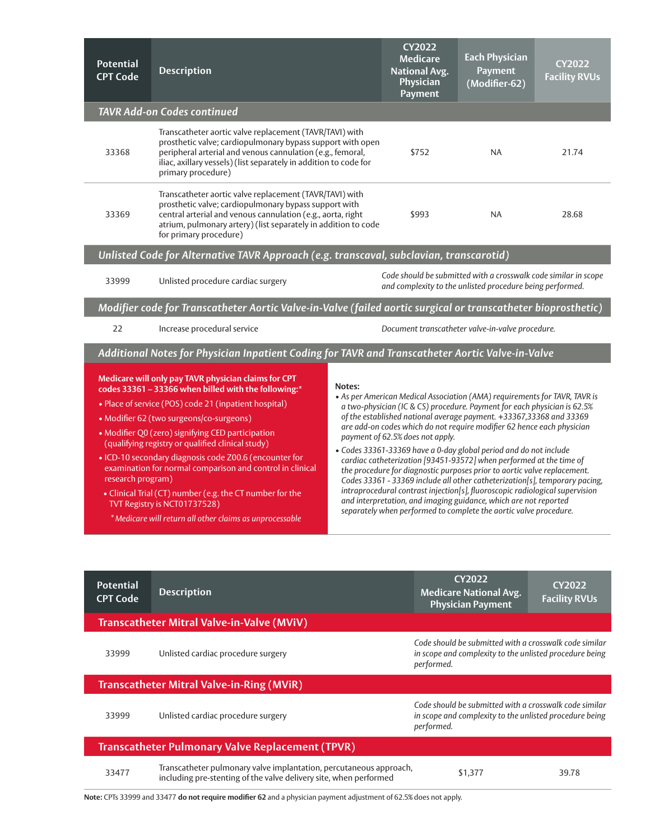| <b>Potential</b><br><b>CPT Code</b>                                                     | <b>Description</b>                                                                                                                                                                                                                                                                                                                                                                                                                                                                                                                                                                                        |        | <b>CY2022</b><br><b>Medicare</b><br><b>National Avg.</b><br>Physician<br><b>Payment</b> | <b>Each Physician</b><br><b>Payment</b><br>(Modifier-62)                                                                                                                                                                                                                                                                                                                                                                                                                                                                                                                                                                                                                                                                                                                                                                                | <b>CY2022</b><br><b>Facility RVUs</b> |
|-----------------------------------------------------------------------------------------|-----------------------------------------------------------------------------------------------------------------------------------------------------------------------------------------------------------------------------------------------------------------------------------------------------------------------------------------------------------------------------------------------------------------------------------------------------------------------------------------------------------------------------------------------------------------------------------------------------------|--------|-----------------------------------------------------------------------------------------|-----------------------------------------------------------------------------------------------------------------------------------------------------------------------------------------------------------------------------------------------------------------------------------------------------------------------------------------------------------------------------------------------------------------------------------------------------------------------------------------------------------------------------------------------------------------------------------------------------------------------------------------------------------------------------------------------------------------------------------------------------------------------------------------------------------------------------------------|---------------------------------------|
|                                                                                         | <b>TAVR Add-on Codes continued</b>                                                                                                                                                                                                                                                                                                                                                                                                                                                                                                                                                                        |        |                                                                                         |                                                                                                                                                                                                                                                                                                                                                                                                                                                                                                                                                                                                                                                                                                                                                                                                                                         |                                       |
| 33368                                                                                   | Transcatheter aortic valve replacement (TAVR/TAVI) with<br>prosthetic valve; cardiopulmonary bypass support with open<br>peripheral arterial and venous cannulation (e.g., femoral,<br>iliac, axillary vessels) (list separately in addition to code for<br>primary procedure)                                                                                                                                                                                                                                                                                                                            |        | \$752                                                                                   | <b>NA</b>                                                                                                                                                                                                                                                                                                                                                                                                                                                                                                                                                                                                                                                                                                                                                                                                                               | 21.74                                 |
| 33369                                                                                   | Transcatheter aortic valve replacement (TAVR/TAVI) with<br>prosthetic valve; cardiopulmonary bypass support with<br>central arterial and venous cannulation (e.g., aorta, right<br>atrium, pulmonary artery) (list separately in addition to code<br>for primary procedure)                                                                                                                                                                                                                                                                                                                               |        | \$993                                                                                   | NA.                                                                                                                                                                                                                                                                                                                                                                                                                                                                                                                                                                                                                                                                                                                                                                                                                                     | 28.68                                 |
| Unlisted Code for Alternative TAVR Approach (e.g. transcaval, subclavian, transcarotid) |                                                                                                                                                                                                                                                                                                                                                                                                                                                                                                                                                                                                           |        |                                                                                         |                                                                                                                                                                                                                                                                                                                                                                                                                                                                                                                                                                                                                                                                                                                                                                                                                                         |                                       |
| 33999                                                                                   | Code should be submitted with a crosswalk code similar in scope<br>Unlisted procedure cardiac surgery<br>and complexity to the unlisted procedure being performed.                                                                                                                                                                                                                                                                                                                                                                                                                                        |        |                                                                                         |                                                                                                                                                                                                                                                                                                                                                                                                                                                                                                                                                                                                                                                                                                                                                                                                                                         |                                       |
|                                                                                         | Modifier code for Transcatheter Aortic Valve-in-Valve (failed aortic surgical or transcatheter bioprosthetic)                                                                                                                                                                                                                                                                                                                                                                                                                                                                                             |        |                                                                                         |                                                                                                                                                                                                                                                                                                                                                                                                                                                                                                                                                                                                                                                                                                                                                                                                                                         |                                       |
| 22                                                                                      | Increase procedural service                                                                                                                                                                                                                                                                                                                                                                                                                                                                                                                                                                               |        |                                                                                         | Document transcatheter valve-in-valve procedure.                                                                                                                                                                                                                                                                                                                                                                                                                                                                                                                                                                                                                                                                                                                                                                                        |                                       |
|                                                                                         | Additional Notes for Physician Inpatient Coding for TAVR and Transcatheter Aortic Valve-in-Valve                                                                                                                                                                                                                                                                                                                                                                                                                                                                                                          |        |                                                                                         |                                                                                                                                                                                                                                                                                                                                                                                                                                                                                                                                                                                                                                                                                                                                                                                                                                         |                                       |
| research program)                                                                       | Medicare will only pay TAVR physician claims for CPT<br>codes 33361 - 33366 when billed with the following:*<br>• Place of service (POS) code 21 (inpatient hospital)<br>• Modifier 62 (two surgeons/co-surgeons)<br>• Modifier Q0 (zero) signifying CED participation<br>(qualifying registry or qualified clinical study)<br>· ICD-10 secondary diagnosis code Z00.6 (encounter for<br>examination for normal comparison and control in clinical<br>• Clinical Trial (CT) number (e.g. the CT number for the<br>TVT Registry is NCT01737528)<br>*Medicare will return all other claims as unprocessable | Notes: | payment of 62.5% does not apply.                                                        | • As per American Medical Association (AMA) requirements for TAVR, TAVR is<br>a two-physician (IC & CS) procedure. Payment for each physician is 62.5%<br>of the established national average payment. +33367,33368 and 33369<br>are add-on codes which do not require modifier 62 hence each physician<br>· Codes 33361-33369 have a 0-day global period and do not include<br>cardiac catheterization [93451-93572] when performed at the time of<br>the procedure for diagnostic purposes prior to aortic valve replacement.<br>Codes 33361 - 33369 include all other catheterization[s], temporary pacing,<br>intraprocedural contrast injection[s], fluoroscopic radiological supervision<br>and interpretation, and imaging guidance, which are not reported<br>separately when performed to complete the aortic valve procedure. |                                       |
| <b>Potential</b><br><b>CPT Code</b>                                                     | <b>Description</b>                                                                                                                                                                                                                                                                                                                                                                                                                                                                                                                                                                                        |        |                                                                                         | <b>CY2022</b><br><b>Medicare National Avg.</b><br><b>Physician Payment</b>                                                                                                                                                                                                                                                                                                                                                                                                                                                                                                                                                                                                                                                                                                                                                              | <b>CY2022</b><br><b>Facility RVUs</b> |

**Transcatheter Mitral Valve-in-Valve (MViV)**

33999 Unlisted cardiac procedure surgery

#### **Transcatheter Mitral Valve-in-Ring (MViR)**

33999 Unlisted cardiac procedure surgery

*performed.* 

*Code should be submitted with a crosswalk code similar in scope and complexity to the unlisted procedure being* 

*Code should be submitted with a crosswalk code similar in scope and complexity to the unlisted procedure being performed.* 

### **Transcatheter Pulmonary Valve Replacement (TPVR)**

<sup>33477</sup> Transcatheter pulmonary valve implantation, percutaneous approach, including pre-stenting of the valve delivery site, when performed \$1,377 39.78

**Note:** CPTs 33999 and 33477 **do not require modifier 62** and a physician payment adjustment of 62.5% does not apply.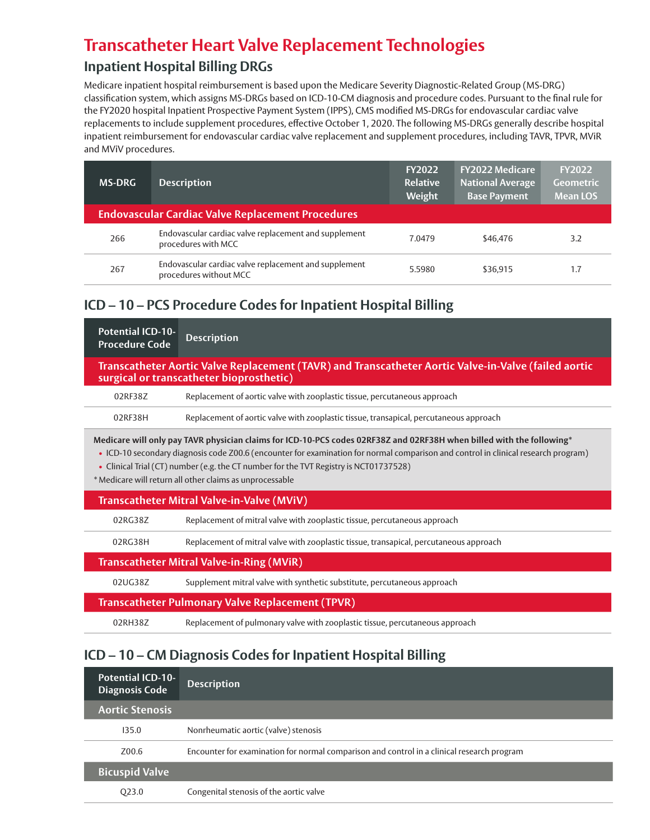# **Transcatheter Heart Valve Replacement Technologies**

### **Inpatient Hospital Billing DRGs**

Medicare inpatient hospital reimbursement is based upon the Medicare Severity Diagnostic-Related Group (MS-DRG) classification system, which assigns MS-DRGs based on ICD-10-CM diagnosis and procedure codes. Pursuant to the final rule for the FY2020 hospital Inpatient Prospective Payment System (IPPS), CMS modified MS-DRGs for endovascular cardiac valve replacements to include supplement procedures, effective October 1, 2020. The following MS-DRGs generally describe hospital inpatient reimbursement for endovascular cardiac valve replacement and supplement procedures, including TAVR, TPVR, MViR and MViV procedures.

| <b>MS-DRG</b>                                            | <b>Description</b>                                                              | <b>FY2022</b><br><b>Relative</b><br>Weight | <b>FY2022 Medicare</b><br><b>National Average</b><br><b>Base Payment</b> | <b>FY2022</b><br><b>Geometric</b><br><b>Mean LOS</b> |
|----------------------------------------------------------|---------------------------------------------------------------------------------|--------------------------------------------|--------------------------------------------------------------------------|------------------------------------------------------|
| <b>Endovascular Cardiac Valve Replacement Procedures</b> |                                                                                 |                                            |                                                                          |                                                      |
| 266                                                      | Endovascular cardiac valve replacement and supplement<br>procedures with MCC    | 7.0479                                     | \$46.476                                                                 | 3.2                                                  |
| 267                                                      | Endovascular cardiac valve replacement and supplement<br>procedures without MCC | 5.5980                                     | \$36,915                                                                 | 1.7                                                  |

### **ICD – 10 – PCS Procedure Codes for Inpatient Hospital Billing**

| <b>Potential ICD-10-</b><br><b>Procedure Code</b>                                                                                                                                                                                                                                                                                                                                                                | <b>Description</b>                                                                     |  |  |
|------------------------------------------------------------------------------------------------------------------------------------------------------------------------------------------------------------------------------------------------------------------------------------------------------------------------------------------------------------------------------------------------------------------|----------------------------------------------------------------------------------------|--|--|
| Transcatheter Aortic Valve Replacement (TAVR) and Transcatheter Aortic Valve-in-Valve (failed aortic<br>surgical or transcatheter bioprosthetic)                                                                                                                                                                                                                                                                 |                                                                                        |  |  |
| 02RF38Z                                                                                                                                                                                                                                                                                                                                                                                                          | Replacement of aortic valve with zooplastic tissue, percutaneous approach              |  |  |
| 02RF38H                                                                                                                                                                                                                                                                                                                                                                                                          | Replacement of aortic valve with zooplastic tissue, transapical, percutaneous approach |  |  |
| Medicare will only pay TAVR physician claims for ICD-10-PCS codes 02RF38Z and 02RF38H when billed with the following*<br>• ICD-10 secondary diagnosis code Z00.6 (encounter for examination for normal comparison and control in clinical research program)<br>• Clinical Trial (CT) number (e.g. the CT number for the TVT Registry is NCT01737528)<br>* Medicare will return all other claims as unprocessable |                                                                                        |  |  |
| Transcatheter Mitral Valve-in-Valve (MViV)                                                                                                                                                                                                                                                                                                                                                                       |                                                                                        |  |  |
| 02RG38Z                                                                                                                                                                                                                                                                                                                                                                                                          | Replacement of mitral valve with zooplastic tissue, percutaneous approach              |  |  |
| 02RG38H                                                                                                                                                                                                                                                                                                                                                                                                          | Replacement of mitral valve with zooplastic tissue, transapical, percutaneous approach |  |  |
| <b>Transcatheter Mitral Valve-in-Ring (MViR)</b>                                                                                                                                                                                                                                                                                                                                                                 |                                                                                        |  |  |
| 02UG38Z                                                                                                                                                                                                                                                                                                                                                                                                          | Supplement mitral valve with synthetic substitute, percutaneous approach               |  |  |
|                                                                                                                                                                                                                                                                                                                                                                                                                  | <b>Transcatheter Pulmonary Valve Replacement (TPVR)</b>                                |  |  |
| 02RH38Z                                                                                                                                                                                                                                                                                                                                                                                                          | Replacement of pulmonary valve with zooplastic tissue, percutaneous approach           |  |  |

### **ICD – 10 – CM Diagnosis Codes for Inpatient Hospital Billing**

| <b>Potential ICD-10-</b><br><b>Diagnosis Code</b> | <b>Description</b>                                                                         |
|---------------------------------------------------|--------------------------------------------------------------------------------------------|
| <b>Aortic Stenosis</b>                            |                                                                                            |
| 135.0                                             | Nonrheumatic aortic (valve) stenosis                                                       |
| Z00.6                                             | Encounter for examination for normal comparison and control in a clinical research program |
| <b>Bicuspid Valve</b>                             |                                                                                            |
| Q <sub>23.0</sub>                                 | Congenital stenosis of the aortic valve                                                    |
|                                                   |                                                                                            |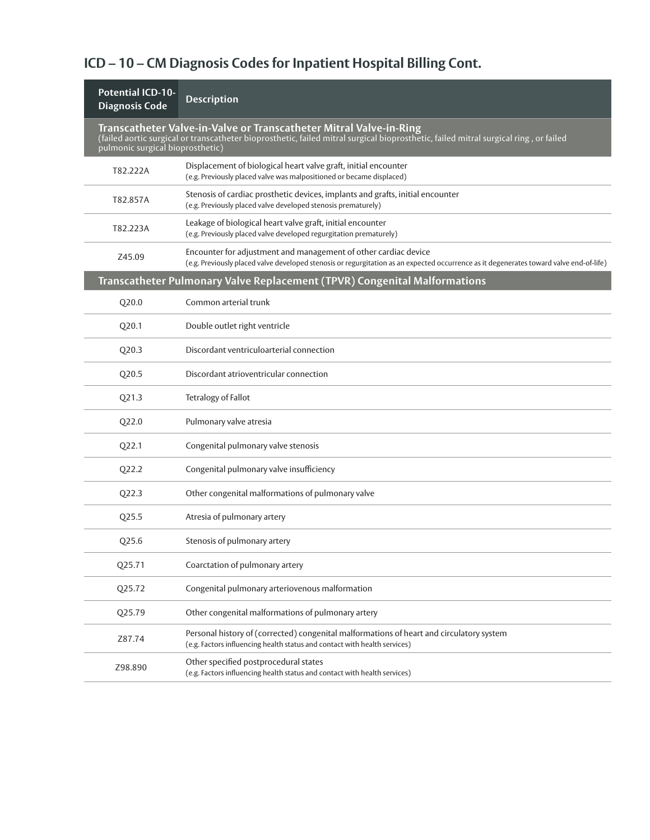# **ICD – 10 – CM Diagnosis Codes for Inpatient Hospital Billing Cont.**

| <b>Potential ICD-10-</b><br><b>Diagnosis Code</b> | <b>Description</b>                                                                                                                                                                                         |
|---------------------------------------------------|------------------------------------------------------------------------------------------------------------------------------------------------------------------------------------------------------------|
| pulmonic surgical bioprosthetic)                  | Transcatheter Valve-in-Valve or Transcatheter Mitral Valve-in-Ring<br>(failed aortic surgical or transcatheter bioprosthetic, failed mitral surgical bioprosthetic, failed mitral surgical ring, or failed |
| T82.222A                                          | Displacement of biological heart valve graft, initial encounter<br>(e.g. Previously placed valve was malpositioned or became displaced)                                                                    |
| T82.857A                                          | Stenosis of cardiac prosthetic devices, implants and grafts, initial encounter<br>(e.g. Previously placed valve developed stenosis prematurely)                                                            |
| T82.223A                                          | Leakage of biological heart valve graft, initial encounter<br>(e.g. Previously placed valve developed regurgitation prematurely)                                                                           |
| Z45.09                                            | Encounter for adjustment and management of other cardiac device<br>(e.g. Previously placed valve developed stenosis or regurgitation as an expected occurrence as it degenerates toward valve end-of-life) |
|                                                   | Transcatheter Pulmonary Valve Replacement (TPVR) Congenital Malformations                                                                                                                                  |
| Q20.0                                             | Common arterial trunk                                                                                                                                                                                      |
| Q20.1                                             | Double outlet right ventricle                                                                                                                                                                              |
| Q20.3                                             | Discordant ventriculoarterial connection                                                                                                                                                                   |
| Q20.5                                             | Discordant atrioventricular connection                                                                                                                                                                     |
| Q21.3                                             | Tetralogy of Fallot                                                                                                                                                                                        |
| Q22.0                                             | Pulmonary valve atresia                                                                                                                                                                                    |
| Q <sub>22.1</sub>                                 | Congenital pulmonary valve stenosis                                                                                                                                                                        |
| Q22.2                                             | Congenital pulmonary valve insufficiency                                                                                                                                                                   |
| Q22.3                                             | Other congenital malformations of pulmonary valve                                                                                                                                                          |
| Q25.5                                             | Atresia of pulmonary artery                                                                                                                                                                                |
| Q25.6                                             | Stenosis of pulmonary artery                                                                                                                                                                               |
| Q25.71                                            | Coarctation of pulmonary artery                                                                                                                                                                            |
| Q25.72                                            | Congenital pulmonary arteriovenous malformation                                                                                                                                                            |
| Q25.79                                            | Other congenital malformations of pulmonary artery                                                                                                                                                         |
| Z87.74                                            | Personal history of (corrected) congenital malformations of heart and circulatory system<br>(e.g. Factors influencing health status and contact with health services)                                      |
| Z98.890                                           | Other specified postprocedural states<br>(e.g. Factors influencing health status and contact with health services)                                                                                         |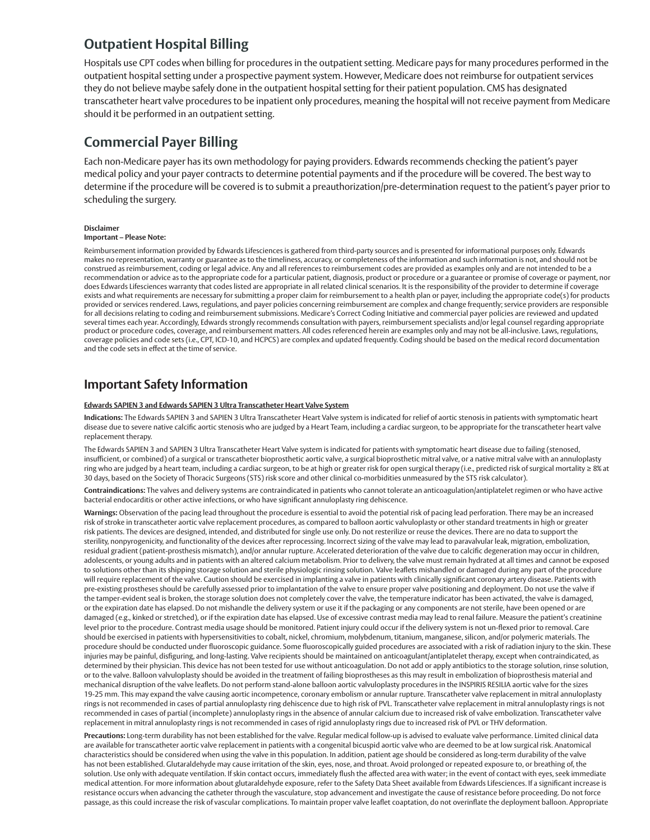### **Outpatient Hospital Billing**

Hospitals use CPT codes when billing for procedures in the outpatient setting. Medicare pays for many procedures performed in the outpatient hospital setting under a prospective payment system. However, Medicare does not reimburse for outpatient services they do not believe maybe safely done in the outpatient hospital setting for their patient population. CMS has designated transcatheter heart valve procedures to be inpatient only procedures, meaning the hospital will not receive payment from Medicare should it be performed in an outpatient setting.

### **Commercial Payer Billing**

Each non-Medicare payer has its own methodology for paying providers. Edwards recommends checking the patient's payer medical policy and your payer contracts to determine potential payments and if the procedure will be covered. The best way to determine if the procedure will be covered is to submit a preauthorization/pre-determination request to the patient's payer prior to scheduling the surgery.

#### **Disclaimer**

#### **Important – Please Note:**

Reimbursement information provided by Edwards Lifesciences is gathered from third-party sources and is presented for informational purposes only. Edwards makes no representation, warranty or guarantee as to the timeliness, accuracy, or completeness of the information and such information is not, and should not be construed as reimbursement, coding or legal advice. Any and all references to reimbursement codes are provided as examples only and are not intended to be a recommendation or advice as to the appropriate code for a particular patient, diagnosis, product or procedure or a guarantee or promise of coverage or payment, nor does Edwards Lifesciences warranty that codes listed are appropriate in all related clinical scenarios. It is the responsibility of the provider to determine if coverage exists and what requirements are necessary for submitting a proper claim for reimbursement to a health plan or payer, including the appropriate code(s) for products provided or services rendered. Laws, regulations, and payer policies concerning reimbursement are complex and change frequently; service providers are responsible for all decisions relating to coding and reimbursement submissions. Medicare's Correct Coding Initiative and commercial payer policies are reviewed and updated several times each year. Accordingly, Edwards strongly recommends consultation with payers, reimbursement specialists and/or legal counsel regarding appropriate product or procedure codes, coverage, and reimbursement matters. All codes referenced herein are examples only and may not be all-inclusive. Laws, regulations, coverage policies and code sets (i.e., CPT, ICD-10, and HCPCS) are complex and updated frequently. Coding should be based on the medical record documentation and the code sets in effect at the time of service.

### **Important Safety Information**

#### **Edwards SAPIEN 3 and Edwards SAPIEN 3 Ultra Transcatheter Heart Valve System**

**Indications:** The Edwards SAPIEN 3 and SAPIEN 3 Ultra Transcatheter Heart Valve system is indicated for relief of aortic stenosis in patients with symptomatic heart disease due to severe native calcific aortic stenosis who are judged by a Heart Team, including a cardiac surgeon, to be appropriate for the transcatheter heart valve replacement therapy.

The Edwards SAPIEN 3 and SAPIEN 3 Ultra Transcatheter Heart Valve system is indicated for patients with symptomatic heart disease due to failing (stenosed, insufficient, or combined) of a surgical or transcatheter bioprosthetic aortic valve, a surgical bioprosthetic mitral valve, or a native mitral valve with an annuloplasty ring who are judged by a heart team, including a cardiac surgeon, to be at high or greater risk for open surgical therapy (i.e., predicted risk of surgical mortality ≥ 8% at 30 days, based on the Society of Thoracic Surgeons (STS) risk score and other clinical co-morbidities unmeasured by the STS risk calculator).

**Contraindications:** The valves and delivery systems are contraindicated in patients who cannot tolerate an anticoagulation/antiplatelet regimen or who have active bacterial endocarditis or other active infections, or who have significant annuloplasty ring dehiscence.

**Warnings:** Observation of the pacing lead throughout the procedure is essential to avoid the potential risk of pacing lead perforation. There may be an increased risk of stroke in transcatheter aortic valve replacement procedures, as compared to balloon aortic valvuloplasty or other standard treatments in high or greater risk patients. The devices are designed, intended, and distributed for single use only. Do not resterilize or reuse the devices. There are no data to support the sterility, nonpyrogenicity, and functionality of the devices after reprocessing. Incorrect sizing of the valve may lead to paravalvular leak, migration, embolization, residual gradient (patient-prosthesis mismatch), and/or annular rupture. Accelerated deterioration of the valve due to calcific degeneration may occur in children, adolescents, or young adults and in patients with an altered calcium metabolism. Prior to delivery, the valve must remain hydrated at all times and cannot be exposed to solutions other than its shipping storage solution and sterile physiologic rinsing solution. Valve leaflets mishandled or damaged during any part of the procedure will require replacement of the valve. Caution should be exercised in implanting a valve in patients with clinically significant coronary artery disease. Patients with pre-existing prostheses should be carefully assessed prior to implantation of the valve to ensure proper valve positioning and deployment. Do not use the valve if the tamper-evident seal is broken, the storage solution does not completely cover the valve, the temperature indicator has been activated, the valve is damaged, or the expiration date has elapsed. Do not mishandle the delivery system or use it if the packaging or any components are not sterile, have been opened or are damaged (e.g., kinked or stretched), or if the expiration date has elapsed. Use of excessive contrast media may lead to renal failure. Measure the patient's creatinine level prior to the procedure. Contrast media usage should be monitored. Patient injury could occur if the delivery system is not un-flexed prior to removal. Care should be exercised in patients with hypersensitivities to cobalt, nickel, chromium, molybdenum, titanium, manganese, silicon, and/or polymeric materials. The procedure should be conducted under fluoroscopic guidance. Some fluoroscopically guided procedures are associated with a risk of radiation injury to the skin. These injuries may be painful, disfiguring, and long-lasting. Valve recipients should be maintained on anticoagulant/antiplatelet therapy, except when contraindicated, as determined by their physician. This device has not been tested for use without anticoagulation. Do not add or apply antibiotics to the storage solution, rinse solution, or to the valve. Balloon valvuloplasty should be avoided in the treatment of failing bioprostheses as this may result in embolization of bioprosthesis material and mechanical disruption of the valve leaflets. Do not perform stand-alone balloon aortic valvuloplasty procedures in the INSPIRIS RESILIA aortic valve for the sizes 19-25 mm. This may expand the valve causing aortic incompetence, coronary embolism or annular rupture. Transcatheter valve replacement in mitral annuloplasty rings is not recommended in cases of partial annuloplasty ring dehiscence due to high risk of PVL. Transcatheter valve replacement in mitral annuloplasty rings is not recommended in cases of partial (incomplete) annuloplasty rings in the absence of annular calcium due to increased risk of valve embolization. Transcatheter valve replacement in mitral annuloplasty rings is not recommended in cases of rigid annuloplasty rings due to increased risk of PVL or THV deformation.

**Precautions:** Long-term durability has not been established for the valve. Regular medical follow-up is advised to evaluate valve performance. Limited clinical data are available for transcatheter aortic valve replacement in patients with a congenital bicuspid aortic valve who are deemed to be at low surgical risk. Anatomical characteristics should be considered when using the valve in this population. In addition, patient age should be considered as long-term durability of the valve has not been established. Glutaraldehyde may cause irritation of the skin, eyes, nose, and throat. Avoid prolonged or repeated exposure to, or breathing of, the solution. Use only with adequate ventilation. If skin contact occurs, immediately flush the affected area with water; in the event of contact with eyes, seek immediate medical attention. For more information about glutaraldehyde exposure, refer to the Safety Data Sheet available from Edwards Lifesciences. If a significant increase is resistance occurs when advancing the catheter through the vasculature, stop advancement and investigate the cause of resistance before proceeding. Do not force passage, as this could increase the risk of vascular complications. To maintain proper valve leaflet coaptation, do not overinflate the deployment balloon. Appropriate